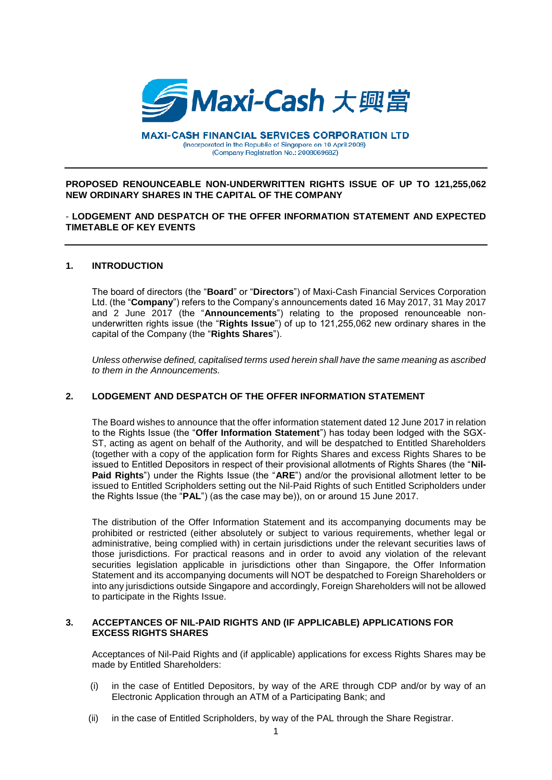

**MAXI-CASH FINANCIAL SERVICES CORPORATION LTD** (Incorporated in the Republic of Singapore on 10 April 2008) (Company Registration No.: 200806968Z)

### **PROPOSED RENOUNCEABLE NON-UNDERWRITTEN RIGHTS ISSUE OF UP TO 121,255,062 NEW ORDINARY SHARES IN THE CAPITAL OF THE COMPANY**

## - **LODGEMENT AND DESPATCH OF THE OFFER INFORMATION STATEMENT AND EXPECTED TIMETABLE OF KEY EVENTS**

### **1. INTRODUCTION**

The board of directors (the "**Board**" or "**Directors**") of Maxi-Cash Financial Services Corporation Ltd. (the "**Company**") refers to the Company's announcements dated 16 May 2017, 31 May 2017 and 2 June 2017 (the "**Announcements**") relating to the proposed renounceable nonunderwritten rights issue (the "**Rights Issue**") of up to 121,255,062 new ordinary shares in the capital of the Company (the "**Rights Shares**").

*Unless otherwise defined, capitalised terms used herein shall have the same meaning as ascribed to them in the Announcements.*

# **2. LODGEMENT AND DESPATCH OF THE OFFER INFORMATION STATEMENT**

The Board wishes to announce that the offer information statement dated 12 June 2017 in relation to the Rights Issue (the "**Offer Information Statement**") has today been lodged with the SGX-ST, acting as agent on behalf of the Authority, and will be despatched to Entitled Shareholders (together with a copy of the application form for Rights Shares and excess Rights Shares to be issued to Entitled Depositors in respect of their provisional allotments of Rights Shares (the "**Nil-Paid Rights**") under the Rights Issue (the "**ARE**") and/or the provisional allotment letter to be issued to Entitled Scripholders setting out the Nil-Paid Rights of such Entitled Scripholders under the Rights Issue (the "**PAL**") (as the case may be)), on or around 15 June 2017.

The distribution of the Offer Information Statement and its accompanying documents may be prohibited or restricted (either absolutely or subject to various requirements, whether legal or administrative, being complied with) in certain jurisdictions under the relevant securities laws of those jurisdictions. For practical reasons and in order to avoid any violation of the relevant securities legislation applicable in jurisdictions other than Singapore, the Offer Information Statement and its accompanying documents will NOT be despatched to Foreign Shareholders or into any jurisdictions outside Singapore and accordingly, Foreign Shareholders will not be allowed to participate in the Rights Issue.

## **3. ACCEPTANCES OF NIL-PAID RIGHTS AND (IF APPLICABLE) APPLICATIONS FOR EXCESS RIGHTS SHARES**

Acceptances of Nil-Paid Rights and (if applicable) applications for excess Rights Shares may be made by Entitled Shareholders:

- (i) in the case of Entitled Depositors, by way of the ARE through CDP and/or by way of an Electronic Application through an ATM of a Participating Bank; and
- (ii) in the case of Entitled Scripholders, by way of the PAL through the Share Registrar.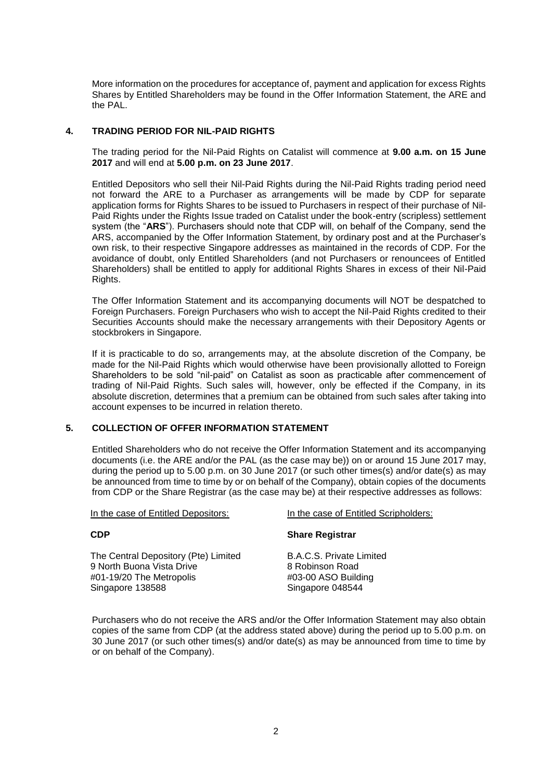More information on the procedures for acceptance of, payment and application for excess Rights Shares by Entitled Shareholders may be found in the Offer Information Statement, the ARE and the PAL.

# **4. TRADING PERIOD FOR NIL-PAID RIGHTS**

The trading period for the Nil-Paid Rights on Catalist will commence at **9.00 a.m. on 15 June 2017** and will end at **5.00 p.m. on 23 June 2017**.

Entitled Depositors who sell their Nil-Paid Rights during the Nil-Paid Rights trading period need not forward the ARE to a Purchaser as arrangements will be made by CDP for separate application forms for Rights Shares to be issued to Purchasers in respect of their purchase of Nil-Paid Rights under the Rights Issue traded on Catalist under the book-entry (scripless) settlement system (the "**ARS**"). Purchasers should note that CDP will, on behalf of the Company, send the ARS, accompanied by the Offer Information Statement, by ordinary post and at the Purchaser's own risk, to their respective Singapore addresses as maintained in the records of CDP. For the avoidance of doubt, only Entitled Shareholders (and not Purchasers or renouncees of Entitled Shareholders) shall be entitled to apply for additional Rights Shares in excess of their Nil-Paid Rights.

The Offer Information Statement and its accompanying documents will NOT be despatched to Foreign Purchasers. Foreign Purchasers who wish to accept the Nil-Paid Rights credited to their Securities Accounts should make the necessary arrangements with their Depository Agents or stockbrokers in Singapore.

If it is practicable to do so, arrangements may, at the absolute discretion of the Company, be made for the Nil-Paid Rights which would otherwise have been provisionally allotted to Foreign Shareholders to be sold "nil-paid" on Catalist as soon as practicable after commencement of trading of Nil-Paid Rights. Such sales will, however, only be effected if the Company, in its absolute discretion, determines that a premium can be obtained from such sales after taking into account expenses to be incurred in relation thereto.

# **5. COLLECTION OF OFFER INFORMATION STATEMENT**

Entitled Shareholders who do not receive the Offer Information Statement and its accompanying documents (i.e. the ARE and/or the PAL (as the case may be)) on or around 15 June 2017 may, during the period up to 5.00 p.m. on 30 June 2017 (or such other times(s) and/or date(s) as may be announced from time to time by or on behalf of the Company), obtain copies of the documents from CDP or the Share Registrar (as the case may be) at their respective addresses as follows:

In the case of Entitled Depositors: In the case of Entitled Scripholders: **CDP** The Central Depository (Pte) Limited 9 North Buona Vista Drive #01-19/20 The Metropolis Singapore 138588 **Share Registrar** B.A.C.S. Private Limited 8 Robinson Road #03-00 ASO Building Singapore 048544

Purchasers who do not receive the ARS and/or the Offer Information Statement may also obtain copies of the same from CDP (at the address stated above) during the period up to 5.00 p.m. on 30 June 2017 (or such other times(s) and/or date(s) as may be announced from time to time by or on behalf of the Company).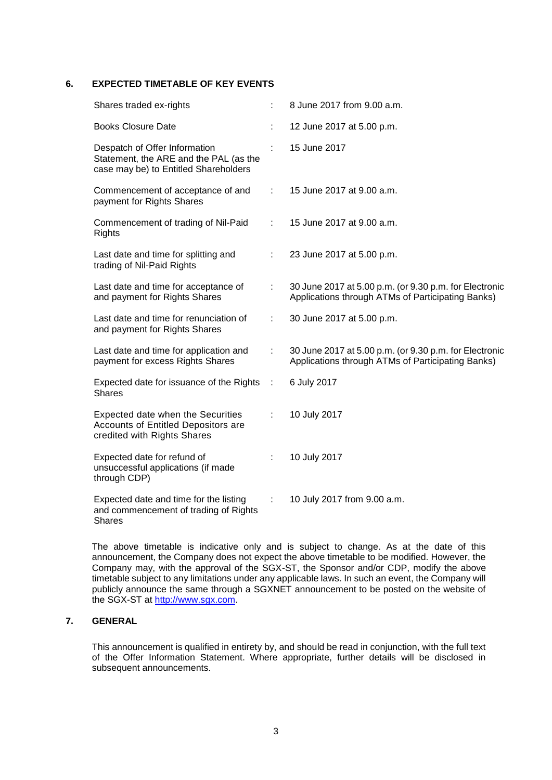## **6. EXPECTED TIMETABLE OF KEY EVENTS**

| Shares traded ex-rights                                                                                          |    | 8 June 2017 from 9.00 a.m.                                                                                  |
|------------------------------------------------------------------------------------------------------------------|----|-------------------------------------------------------------------------------------------------------------|
| <b>Books Closure Date</b>                                                                                        |    | 12 June 2017 at 5.00 p.m.                                                                                   |
| Despatch of Offer Information<br>Statement, the ARE and the PAL (as the<br>case may be) to Entitled Shareholders |    | 15 June 2017                                                                                                |
| Commencement of acceptance of and<br>payment for Rights Shares                                                   | ÷  | 15 June 2017 at 9.00 a.m.                                                                                   |
| Commencement of trading of Nil-Paid<br>Rights                                                                    | ÷  | 15 June 2017 at 9.00 a.m.                                                                                   |
| Last date and time for splitting and<br>trading of Nil-Paid Rights                                               | t  | 23 June 2017 at 5.00 p.m.                                                                                   |
| Last date and time for acceptance of<br>and payment for Rights Shares                                            | ÷  | 30 June 2017 at 5.00 p.m. (or 9.30 p.m. for Electronic<br>Applications through ATMs of Participating Banks) |
| Last date and time for renunciation of<br>and payment for Rights Shares                                          | ÷  | 30 June 2017 at 5.00 p.m.                                                                                   |
| Last date and time for application and<br>payment for excess Rights Shares                                       | t. | 30 June 2017 at 5.00 p.m. (or 9.30 p.m. for Electronic<br>Applications through ATMs of Participating Banks) |
| Expected date for issuance of the Rights<br><b>Shares</b>                                                        | ÷  | 6 July 2017                                                                                                 |
| Expected date when the Securities<br>Accounts of Entitled Depositors are<br>credited with Rights Shares          | ÷  | 10 July 2017                                                                                                |
| Expected date for refund of<br>unsuccessful applications (if made<br>through CDP)                                |    | 10 July 2017                                                                                                |
| Expected date and time for the listing<br>and commencement of trading of Rights<br><b>Shares</b>                 | ÷  | 10 July 2017 from 9.00 a.m.                                                                                 |

The above timetable is indicative only and is subject to change. As at the date of this announcement, the Company does not expect the above timetable to be modified. However, the Company may, with the approval of the SGX-ST, the Sponsor and/or CDP, modify the above timetable subject to any limitations under any applicable laws. In such an event, the Company will publicly announce the same through a SGXNET announcement to be posted on the website of the SGX-ST at [http://www.sgx.com.](http://www.sgx.com/)

# **7. GENERAL**

This announcement is qualified in entirety by, and should be read in conjunction, with the full text of the Offer Information Statement. Where appropriate, further details will be disclosed in subsequent announcements.